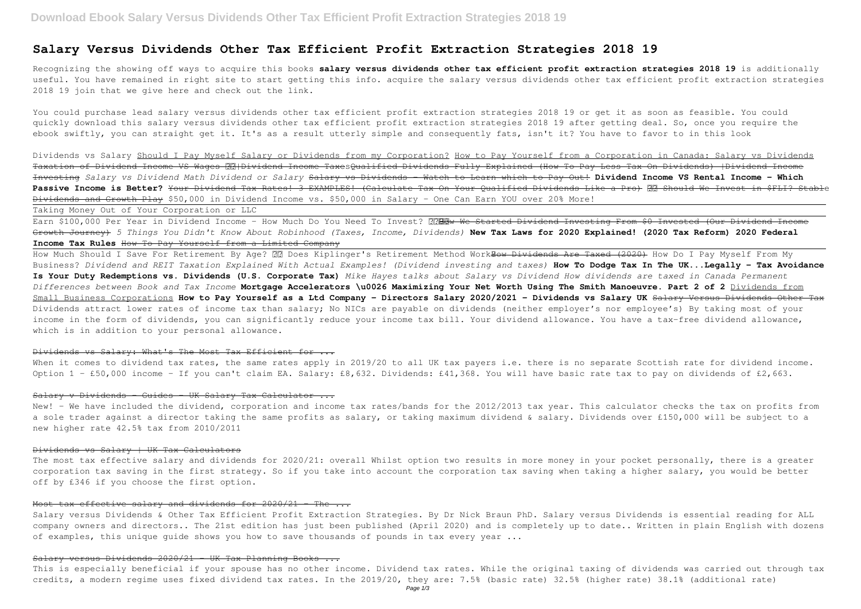# **Salary Versus Dividends Other Tax Efficient Profit Extraction Strategies 2018 19**

Recognizing the showing off ways to acquire this books **salary versus dividends other tax efficient profit extraction strategies 2018 19** is additionally useful. You have remained in right site to start getting this info. acquire the salary versus dividends other tax efficient profit extraction strategies 2018 19 join that we give here and check out the link.

Dividends vs Salary Should I Pay Myself Salary or Dividends from my Corporation? How to Pay Yourself from a Corporation in Canada: Salary vs Dividends Taxation of Dividend Income VS Wages **RR**|Dividend Income TaxesQualified Dividends Fully Explained (How To Pay Less Tax On Dividends) |Dividend Income Investing Salary vs Dividend Math Dividend or Salary Salary vs Dividends - Watch to Learn which to Pay Out! Dividend Income VS Rental Income - Which Passive Income is Better? Your Dividend Tax Rates! 3 EXAMPLES! (Calculate Tax On Your Oualified Dividends Like a Pro) **RR** Should We Invest in \$FLI? Stable Dividends and Growth Play \$50,000 in Dividend Income vs. \$50,000 in Salary - One Can Earn YOU over 20% More!

You could purchase lead salary versus dividends other tax efficient profit extraction strategies 2018 19 or get it as soon as feasible. You could quickly download this salary versus dividends other tax efficient profit extraction strategies 2018 19 after getting deal. So, once you require the ebook swiftly, you can straight get it. It's as a result utterly simple and consequently fats, isn't it? You have to favor to in this look

Earn \$100,000 Per Year in Dividend Income - How Much Do You Need To Invest? ?? De Started Dividend Investing From \$0 Invested (Our Dividend Income Growth Journey) *5 Things You Didn't Know About Robinhood (Taxes, Income, Dividends)* **New Tax Laws for 2020 Explained! (2020 Tax Reform) 2020 Federal Income Tax Rules** How To Pay Yourself from a Limited Company

How Much Should I Save For Retirement By Age? **22 Does Kiplinger's Retirement Method Work<del>How Dividends Are Taxed (2020)</del> How Do I Pay Myself From My** Business? *Dividend and REIT Taxation Explained With Actual Examples! (Dividend investing and taxes)* **How To Dodge Tax In The UK...Legally - Tax Avoidance Is Your Duty Redemptions vs. Dividends (U.S. Corporate Tax)** *Mike Hayes talks about Salary vs Dividend How dividends are taxed in Canada Permanent Differences between Book and Tax Income* **Mortgage Accelerators \u0026 Maximizing Your Net Worth Using The Smith Manoeuvre. Part 2 of 2** Dividends from Small Business Corporations **How to Pay Yourself as a Ltd Company - Directors Salary 2020/2021 - Dividends vs Salary UK** Salary Versus Dividends Other Tax Dividends attract lower rates of income tax than salary; No NICs are payable on dividends (neither employer's nor employee's) By taking most of vour income in the form of dividends, you can significantly reduce your income tax bill. Your dividend allowance. You have a tax-free dividend allowance, which is in addition to your personal allowance.

Taking Money Out of Your Corporation or LLC

When it comes to dividend tax rates, the same rates apply in 2019/20 to all UK tax payers i.e. there is no separate Scottish rate for dividend income. Option 1 - £50,000 income - If you can't claim EA. Salary: £8,632. Dividends: £41,368. You will have basic rate tax to pay on dividends of £2,663.

#### Salary v Dividends - Guides - UK Salary Tax Calculator ...

New! - We have included the dividend, corporation and income tax rates/bands for the 2012/2013 tax year. This calculator checks the tax on profits from a sole trader against a director taking the same profits as salary, or taking maximum dividend & salary. Dividends over £150,000 will be subject to a new higher rate 42.5% tax from 2010/2011

The most tax effective salary and dividends for 2020/21: overall Whilst option two results in more money in your pocket personally, there is a greater corporation tax saving in the first strategy. So if you take into account the corporation tax saving when taking a higher salary, you would be better off by £346 if you choose the first option.

#### Most tax effective salary and dividends for  $2020/21$  - The  $\ldots$

Salary versus Dividends & Other Tax Efficient Profit Extraction Strategies. By Dr Nick Braun PhD. Salary versus Dividends is essential reading for ALL company owners and directors.. The 21st edition has just been published (April 2020) and is completely up to date.. Written in plain English with dozens of examples, this unique quide shows you how to save thousands of pounds in tax every year ...

#### Salary versus Dividends 2020/21 - UK Tax Planning Books ...

# Dividends vs Salary: What's The Most Tax Efficient for ...

# Dividends vs Salary | UK Tax Calculators

This is especially beneficial if your spouse has no other income. Dividend tax rates. While the original taxing of dividends was carried out through tax credits, a modern regime uses fixed dividend tax rates. In the 2019/20, they are: 7.5% (basic rate) 32.5% (higher rate) 38.1% (additional rate)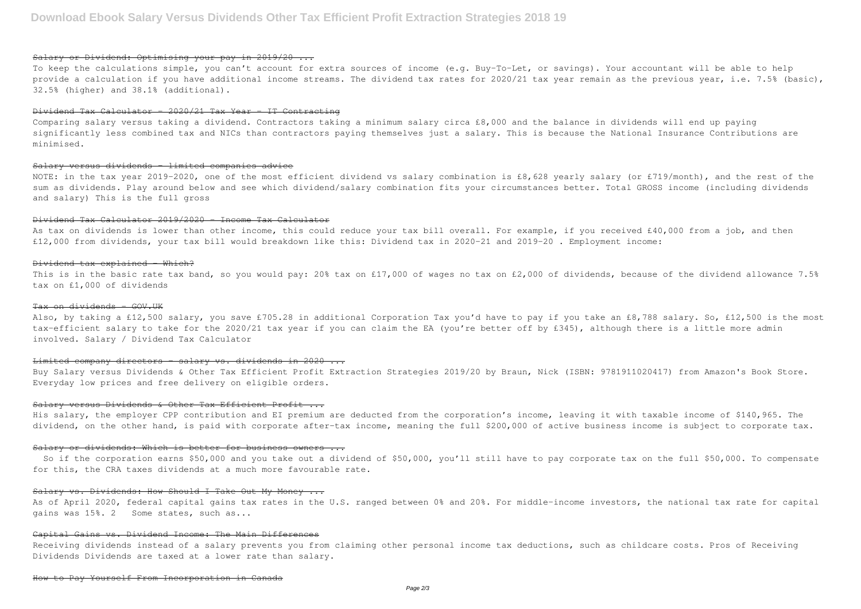# Salary or Dividend: Optimising your pay in 2019/20 ...

To keep the calculations simple, you can't account for extra sources of income (e.g. Buy-To-Let, or savings). Your accountant will be able to help provide a calculation if you have additional income streams. The dividend tax rates for 2020/21 tax year remain as the previous year, i.e. 7.5% (basic), 32.5% (higher) and 38.1% (additional).

# $Dividend$  Tax Calculator -  $2020/21$  Tax Year - IT Contracting

NOTE: in the tax year 2019-2020, one of the most efficient dividend vs salary combination is £8,628 yearly salary (or £719/month), and the rest of the sum as dividends. Play around below and see which dividend/salary combination fits your circumstances better. Total GROSS income (including dividends and salary) This is the full gross

Comparing salary versus taking a dividend. Contractors taking a minimum salary circa £8,000 and the balance in dividends will end up paying significantly less combined tax and NICs than contractors paying themselves just a salary. This is because the National Insurance Contributions are minimised.

As tax on dividends is lower than other income, this could reduce your tax bill overall. For example, if you received £40,000 from a job, and then £12,000 from dividends, your tax bill would breakdown like this: Dividend tax in 2020-21 and 2019-20 . Employment income:

# Salary versus dividends – limited companies advice

This is in the basic rate tax band, so you would pay: 20% tax on £17,000 of wages no tax on £2,000 of dividends, because of the dividend allowance 7.5% tax on £1,000 of dividends

# Tax on dividends - GOV.UK

Also, by taking a £12,500 salary, you save £705.28 in additional Corporation Tax you'd have to pay if you take an £8,788 salary. So, £12,500 is the most tax-efficient salary to take for the 2020/21 tax year if you can claim the EA (you're better off by £345), although there is a little more admin involved. Salary / Dividend Tax Calculator

### Limited company directors - salary vs. dividends in 2020 ...

### Dividend Tax Calculator 2019/2020 - Income Tax Calculator

#### Dividend tax explained - Which?

As of April 2020, federal capital gains tax rates in the U.S. ranged between 0% and 20%. For middle-income investors, the national tax rate for capital gains was 15%. 2 Some states, such as...

Buy Salary versus Dividends & Other Tax Efficient Profit Extraction Strategies 2019/20 by Braun, Nick (ISBN: 9781911020417) from Amazon's Book Store. Everyday low prices and free delivery on eligible orders.

## Salary versus Dividends & Other Tax Efficient Profit ...

His salary, the employer CPP contribution and EI premium are deducted from the corporation's income, leaving it with taxable income of \$140,965. The dividend, on the other hand, is paid with corporate after-tax income, meaning the full \$200,000 of active business income is subject to corporate tax.

#### Salary or dividends: Which is better for business owners ...

 So if the corporation earns \$50,000 and you take out a dividend of \$50,000, you'll still have to pay corporate tax on the full \$50,000. To compensate for this, the CRA taxes dividends at a much more favourable rate.

#### Salary vs. Dividends: How Should I Take Out My Money ...

# Capital Gains vs. Dividend Income: The Main Differences

Receiving dividends instead of a salary prevents you from claiming other personal income tax deductions, such as childcare costs. Pros of Receiving Dividends Dividends are taxed at a lower rate than salary.